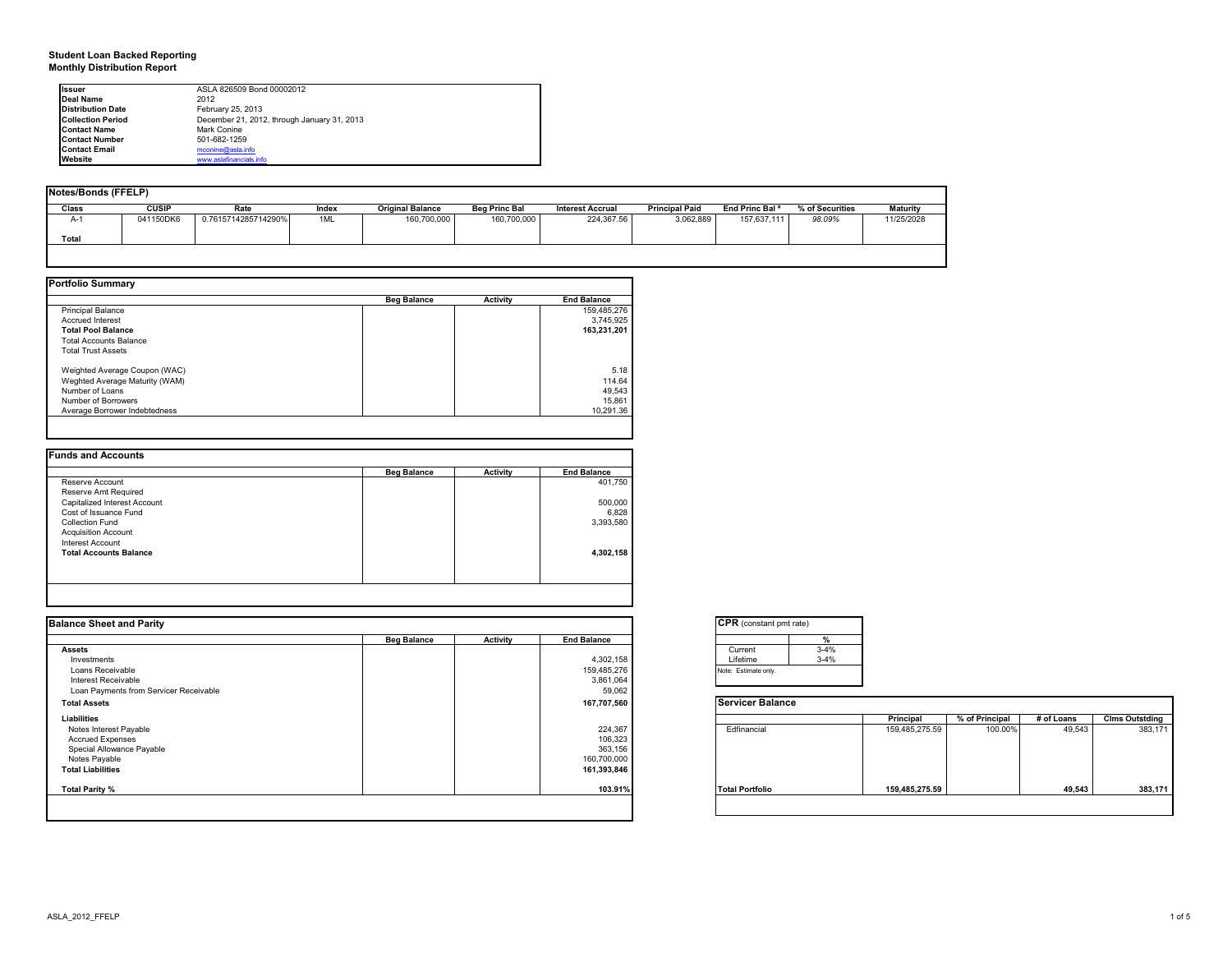# **Student Loan Backed Reporting Monthly Distribution Report**

| <b>Issuer</b>            | ASLA 826509 Bond 00002012                   |  |
|--------------------------|---------------------------------------------|--|
| Deal Name                | 2012                                        |  |
| <b>Distribution Date</b> | February 25, 2013                           |  |
| <b>Collection Period</b> | December 21, 2012, through January 31, 2013 |  |
| <b>Contact Name</b>      | Mark Conine                                 |  |
| <b>Contact Number</b>    | 501-682-1259                                |  |
| <b>Contact Email</b>     | mconine@asla.info                           |  |
| Website                  | www.aslafinancials.info                     |  |

| Notes/Bonds (FFELP) |              |                     |       |                         |                      |                         |                       |                            |                 |                 |
|---------------------|--------------|---------------------|-------|-------------------------|----------------------|-------------------------|-----------------------|----------------------------|-----------------|-----------------|
| Class               | <b>CUSIP</b> | Rate                | Index | <b>Original Balance</b> | <b>Beg Princ Bal</b> | <b>Interest Accrual</b> | <b>Principal Paid</b> | End Princ Bal <sup>a</sup> | % of Securities | <b>Maturity</b> |
| $A-1$               | 041150DK6    | 0.7615714285714290% | 1ML   | 160,700,000             | 160,700,000          | 224,367.56              | 3,062,889             | 157,637,111                | 98.09%          | 11/25/2028      |
| Total               |              |                     |       |                         |                      |                         |                       |                            |                 |                 |
|                     |              |                     |       |                         |                      |                         |                       |                            |                 |                 |

|                                | <b>Beg Balance</b> | <b>Activity</b> | <b>End Balance</b> |
|--------------------------------|--------------------|-----------------|--------------------|
| <b>Principal Balance</b>       |                    |                 | 159,485,276        |
| <b>Accrued Interest</b>        |                    |                 | 3,745,925          |
| <b>Total Pool Balance</b>      |                    |                 | 163.231.201        |
| <b>Total Accounts Balance</b>  |                    |                 |                    |
| <b>Total Trust Assets</b>      |                    |                 |                    |
| Weighted Average Coupon (WAC)  |                    |                 | 5.18               |
| Weghted Average Maturity (WAM) |                    |                 | 114.64             |
| Number of Loans                |                    |                 | 49.543             |
| Number of Borrowers            |                    |                 | 15.861             |
| Average Borrower Indebtedness  |                    |                 | 10.291.36          |

|  | 401,750   |
|--|-----------|
|  |           |
|  | 500,000   |
|  | 6.828     |
|  | 3,393,580 |
|  |           |
|  |           |
|  | 4,302,158 |
|  |           |
|  |           |

| <b>Balance Sheet and Parity</b>                                                                                             |                    |          |                                                             | <b>CPR</b> (constant pmt rate) |                    |                |                |            |                       |
|-----------------------------------------------------------------------------------------------------------------------------|--------------------|----------|-------------------------------------------------------------|--------------------------------|--------------------|----------------|----------------|------------|-----------------------|
|                                                                                                                             | <b>Beg Balance</b> | Activity | <b>End Balance</b>                                          |                                |                    |                |                |            |                       |
| <b>Assets</b><br>Investments                                                                                                |                    |          | 4,302,158                                                   | Current<br>Lifetime            | $3-4%$<br>$3 - 4%$ |                |                |            |                       |
| Loans Receivable<br>Interest Receivable<br>Loan Payments from Servicer Receivable                                           |                    |          | 159,485,276<br>3,861,064<br>59,062                          | Note: Estimate only.           |                    |                |                |            |                       |
| <b>Total Assets</b>                                                                                                         |                    |          | 167,707,560                                                 | <b>Servicer Balance</b>        |                    |                |                |            |                       |
| Liabilities                                                                                                                 |                    |          |                                                             |                                |                    | Principal      | % of Principal | # of Loans | <b>Clms Outstding</b> |
| Notes Interest Payable<br><b>Accrued Expenses</b><br>Special Allowance Payable<br>Notes Payable<br><b>Total Liabilities</b> |                    |          | 224,367<br>106,323<br>363,156<br>160,700,000<br>161,393,846 | Edfinancial                    |                    | 159,485,275.59 | 100.00%        | 49,543     | 383,171               |
| Total Parity %                                                                                                              |                    |          | 103.91%                                                     | <b>Total Portfolio</b>         |                    | 159,485,275.59 |                | 49,543     | 383,171               |
|                                                                                                                             |                    |          |                                                             |                                |                    |                |                |            |                       |

| <b>CPR</b> (constant pmt rate) |        |  |  |  |  |  |  |
|--------------------------------|--------|--|--|--|--|--|--|
|                                | %      |  |  |  |  |  |  |
| Current                        | $3-4%$ |  |  |  |  |  |  |
| Lifetime                       | $3-4%$ |  |  |  |  |  |  |
| Note: Estimate only.           |        |  |  |  |  |  |  |

|                        | Principal      | % of Principal | # of Loans | <b>Clms Outstding</b> |
|------------------------|----------------|----------------|------------|-----------------------|
| Edfinancial            | 159,485,275.59 | 100.00%        | 49,543     | 383,171               |
| <b>Total Portfolio</b> | 159,485,275.59 |                | 49,543     | 383,171               |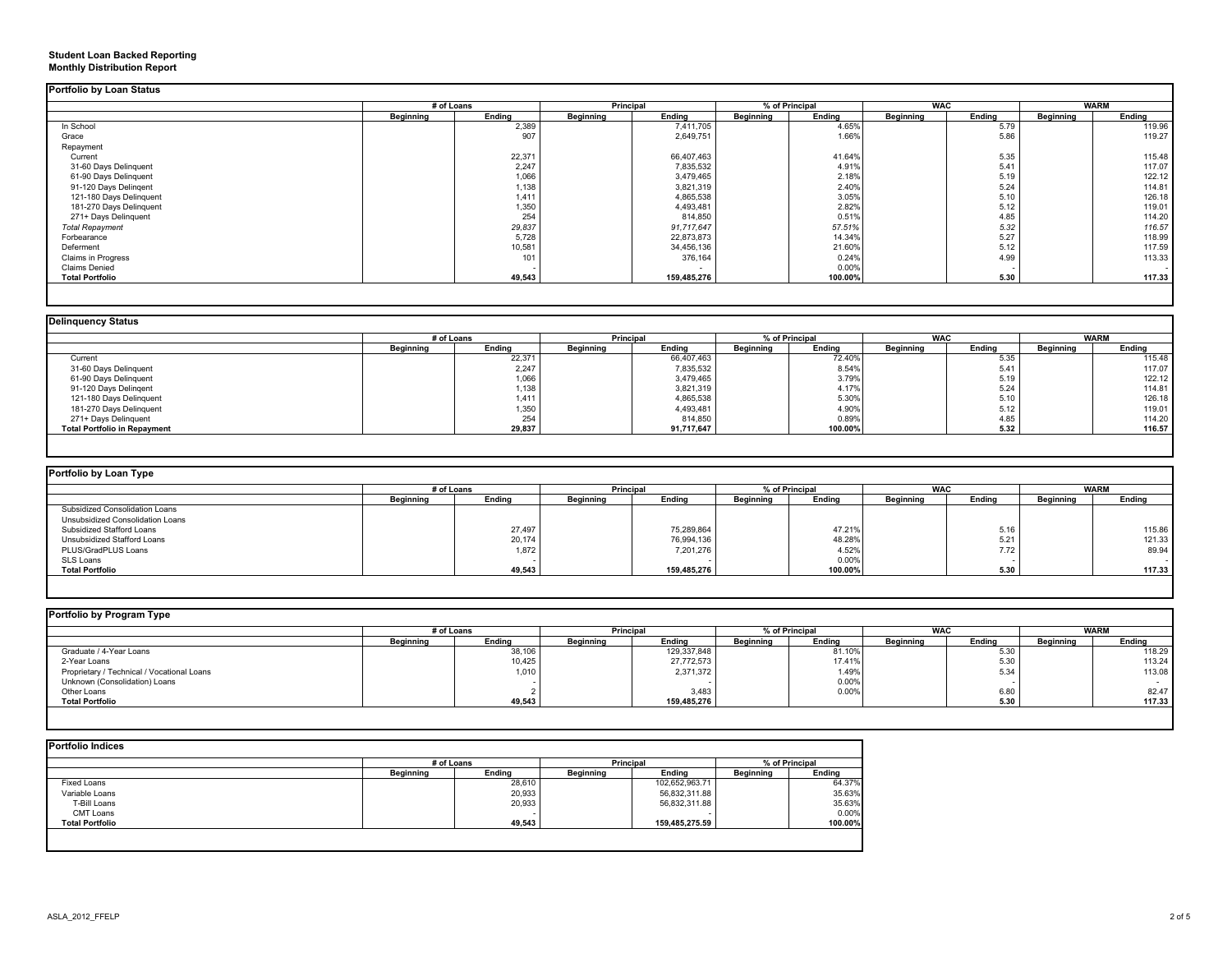#### **Student Loan Backed Reporting Monthly Distribution Report**

| <b>Portfolio by Loan Status</b> |
|---------------------------------|

|                         | # of Loans       |        | Principal |                          | % of Principal |         | <b>WAC</b> |        |           | <b>WARM</b> |
|-------------------------|------------------|--------|-----------|--------------------------|----------------|---------|------------|--------|-----------|-------------|
|                         | <b>Beginning</b> | Ending | Beginning | Ending                   | Beginning      | Ending  | Beginning  | Endina | Beginning | Endina      |
| In School               |                  | 2,389  |           | 7,411,705                |                | 4.65%   |            | 5.79   |           | 119.96      |
| Grace                   |                  | 907    |           | 2,649,751                |                | 1.66%   |            | 5.86   |           | 119.27      |
| Repayment               |                  |        |           |                          |                |         |            |        |           |             |
| Current                 |                  | 22,371 |           | 66,407,463               |                | 41.64%  |            | 5.35   |           | 115.48      |
| 31-60 Days Delinquent   |                  | 2,247  |           | 7,835,532                |                | 4.91%   |            | 5.41   |           | 117.07      |
| 61-90 Days Delinguent   |                  | 1,066  |           | 3,479,465                |                | 2.18%   |            | 5.19   |           | 122.12      |
| 91-120 Days Delingent   |                  | 1,138  |           | 3,821,319                |                | 2.40%   |            | 5.24   |           | 114.81      |
| 121-180 Days Delinquent |                  | 1,411  |           | 4,865,538                |                | 3.05%   |            | 5.10   |           | 126.18      |
| 181-270 Days Delinquent |                  | 1,350  |           | 4,493,481                |                | 2.82%   |            | 5.12   |           | 119.01      |
| 271+ Days Delinquent    |                  | 254    |           | 814,850                  |                | 0.51%   |            | 4.85   |           | 114.20      |
| <b>Total Repayment</b>  |                  | 29,837 |           | 91,717,647               |                | 57.51%  |            | 5.32   |           | 116.57      |
| Forbearance             |                  | 5,728  |           | 22,873,873               |                | 14.34%  |            | 5.27   |           | 118.99      |
| Deferment               |                  | 10,581 |           | 34,456,136               |                | 21.60%  |            | 5.12   |           | 117.59      |
| Claims in Progress      |                  | 101    |           | 376,164                  |                | 0.24%   |            | 4.99   |           | 113.33      |
| <b>Claims Denied</b>    |                  |        |           | $\overline{\phantom{a}}$ |                | 0.00%   |            |        |           |             |
| <b>Total Portfolio</b>  |                  | 49,543 |           | 159,485,276              |                | 100.00% |            | 5.30   |           | 117.33      |

| <b>Delinguency Status</b>           |            |        |           |            |                  |         |                  |        |             |        |  |
|-------------------------------------|------------|--------|-----------|------------|------------------|---------|------------------|--------|-------------|--------|--|
|                                     | # of Loans |        | Principal |            | % of Principal   |         | <b>WAC</b>       |        | <b>WARM</b> |        |  |
|                                     | Beginning  | Endina | Beainnina | Endina     | <b>Beginning</b> | Endina  | <b>Beginning</b> | Ending | Beginning   | Endina |  |
| Current                             |            | 22,371 |           | 66,407,463 |                  | 72.40%  |                  | 5.35   |             | 115.48 |  |
| 31-60 Days Delinquent               |            | 2,247  |           | 7,835,532  |                  | 8.54%   |                  | 5.41   |             | 117.07 |  |
| 61-90 Days Delinquent               |            | 1,066  |           | 3,479,465  |                  | 3.79%   |                  | 5.19   |             | 122.12 |  |
| 91-120 Days Delingent               |            | 1,138  |           | 3,821,319  |                  | 4.17%   |                  | 5.24   |             | 114.81 |  |
| 121-180 Days Delinquent             |            | 1,411  |           | 4,865,538  |                  | 5.30%   |                  | 5.10   |             | 126.18 |  |
| 181-270 Days Delinquent             |            | 1,350  |           | 4,493,481  |                  | 4.90%   |                  | 5.12   |             | 119.01 |  |
| 271+ Days Delinquent                |            | 254    |           | 814,850    |                  | 0.89%   |                  | 4.85   |             | 114.20 |  |
| <b>Total Portfolio in Repayment</b> |            | 29,837 |           | 91,717,647 |                  | 100.00% |                  | 5.32   |             | 116.57 |  |

| Portfolio by Loan Type           |                  |        |                  |             |                |         |            |        |             |        |
|----------------------------------|------------------|--------|------------------|-------------|----------------|---------|------------|--------|-------------|--------|
|                                  | # of Loans       |        | <b>Principal</b> |             | % of Principal |         | <b>WAC</b> |        | <b>WARM</b> |        |
|                                  | <b>Beginning</b> | Ending | <b>Beginning</b> | Ending      | Beginning      | Ending  | Beginning  | Endina | Beginning   | Ending |
| Subsidized Consolidation Loans   |                  |        |                  |             |                |         |            |        |             |        |
| Unsubsidized Consolidation Loans |                  |        |                  |             |                |         |            |        |             |        |
| Subsidized Stafford Loans        |                  | 27,497 |                  | 75,289,864  |                | 47.21%  |            | 5.16   |             | 115.86 |
| Unsubsidized Stafford Loans      |                  | 20,174 |                  | 76,994,136  |                | 48.28%  |            | 5.21   |             | 121.33 |
| PLUS/GradPLUS Loans              |                  | 1,872  |                  | 7,201,276   |                | 4.52%   |            | 7.72   |             | 89.94  |
| SLS Loans                        |                  |        |                  |             |                | 0.00%   |            |        |             |        |
| <b>Total Portfolio</b>           |                  | 49,543 |                  | 159,485,276 |                | 100.00% |            | 5.30   |             | 117.33 |

| Portfolio by Program Type                  |                  |        |                  |                  |           |                |                  |            |                  |             |  |
|--------------------------------------------|------------------|--------|------------------|------------------|-----------|----------------|------------------|------------|------------------|-------------|--|
|                                            | # of Loans       |        |                  | <b>Principal</b> |           | % of Principal |                  | <b>WAC</b> |                  | <b>WARM</b> |  |
|                                            | <b>Beginning</b> | Ending | <b>Beainning</b> | Ending           | Beainnina | Endina         | <b>Beginning</b> | Ending     | <b>Beginning</b> | Endina      |  |
| Graduate / 4-Year Loans                    |                  | 38,106 |                  | 129,337,848      |           | 81.10%         |                  | 5.30       |                  | 118.29      |  |
| 2-Year Loans                               |                  | 10,425 |                  | 27,772,573       |           | 17.41%         |                  | 5.30       |                  | 113.24      |  |
| Proprietary / Technical / Vocational Loans |                  | 1,010  |                  | 2,371,372        |           | 1.49%          |                  | 5.34       |                  | 113.08      |  |
| Unknown (Consolidation) Loans              |                  |        |                  |                  |           | 0.00%          |                  |            |                  |             |  |
| Other Loans                                |                  |        |                  | 3.483            |           | 0.00%          |                  | 6.80       |                  | 82.47       |  |
| <b>Total Portfolio</b>                     |                  | 49,543 |                  | 159,485,276      |           |                |                  | 5.30       |                  | 117.33      |  |

|                        |                  | # of Loans |                  | Principal      |                  | % of Principal |  |
|------------------------|------------------|------------|------------------|----------------|------------------|----------------|--|
|                        | <b>Beginning</b> | Ending     | <b>Beginning</b> | Endina         | <b>Beginning</b> | Endina         |  |
| Fixed Loans            |                  | 28,610     |                  | 102,652,963.71 |                  | 64.37%         |  |
| Variable Loans         |                  | 20,933     |                  | 56,832,311.88  |                  | 35.63%         |  |
| T-Bill Loans           |                  | 20,933     |                  | 56,832,311.88  |                  | 35.63%         |  |
| CMT Loans              |                  |            |                  |                |                  | 0.00%          |  |
| <b>Total Portfolio</b> |                  | 49,543     |                  | 159,485,275.59 |                  | 100.00%        |  |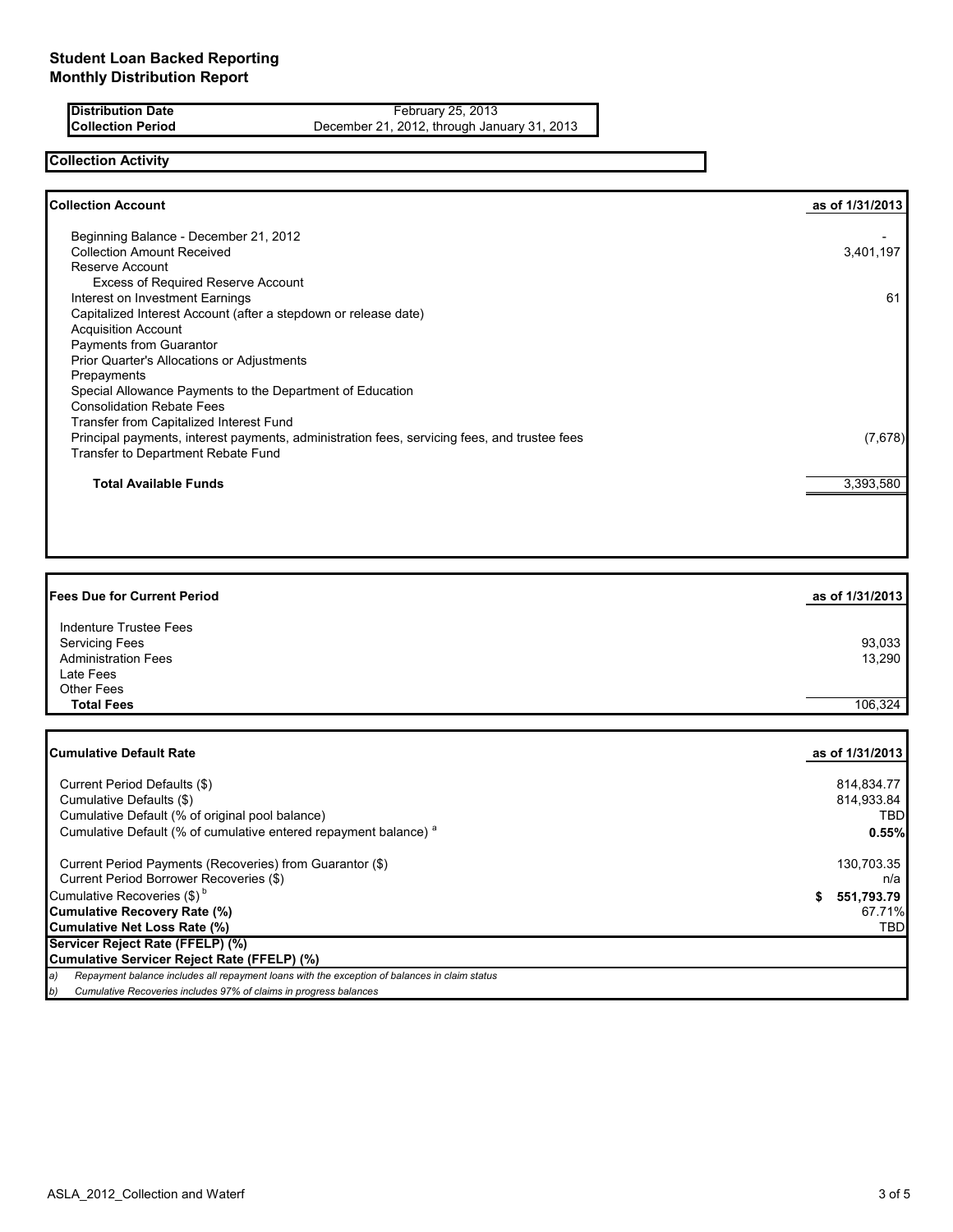**Distribution Date** February 25, 2013<br>**Collection Period February 25, 2012**, through Jan December 21, 2012, through January 31, 2013

### **Collection Activity**

| <b>Collection Account</b>                                                                    | as of 1/31/2013 |
|----------------------------------------------------------------------------------------------|-----------------|
| Beginning Balance - December 21, 2012<br><b>Collection Amount Received</b>                   | 3,401,197       |
| Reserve Account                                                                              |                 |
| <b>Excess of Required Reserve Account</b>                                                    |                 |
| Interest on Investment Earnings                                                              | 61              |
| Capitalized Interest Account (after a stepdown or release date)                              |                 |
| <b>Acquisition Account</b>                                                                   |                 |
| Payments from Guarantor                                                                      |                 |
| Prior Quarter's Allocations or Adjustments                                                   |                 |
| Prepayments                                                                                  |                 |
| Special Allowance Payments to the Department of Education                                    |                 |
| <b>Consolidation Rebate Fees</b>                                                             |                 |
| Transfer from Capitalized Interest Fund                                                      |                 |
| Principal payments, interest payments, administration fees, servicing fees, and trustee fees | (7,678)         |
| Transfer to Department Rebate Fund                                                           |                 |
| <b>Total Available Funds</b>                                                                 | 3,393,580       |
|                                                                                              |                 |
|                                                                                              |                 |

# **Fees Due for Current Period as of 1/31/2013** Indenture Trustee Fees Servicing Fees 93,033<br>Administration Fees 93,033<br>Administration Fees 13,290 Administration Fees Late Fees Other Fees<br>Total Fees **Total Fees** 106,324

| <b>ICumulative Default Rate</b>                                                                     | as of 1/31/2013 |
|-----------------------------------------------------------------------------------------------------|-----------------|
| Current Period Defaults (\$)                                                                        | 814,834.77      |
| Cumulative Defaults (\$)                                                                            | 814,933.84      |
| Cumulative Default (% of original pool balance)                                                     | TBD             |
| Cumulative Default (% of cumulative entered repayment balance) <sup>a</sup>                         | 0.55%           |
| Current Period Payments (Recoveries) from Guarantor (\$)                                            | 130,703.35      |
| Current Period Borrower Recoveries (\$)                                                             | n/a             |
| Cumulative Recoveries (\$) <sup>b</sup>                                                             | 551,793.79      |
| Cumulative Recovery Rate (%)                                                                        | 67.71%          |
| Cumulative Net Loss Rate (%)                                                                        | TBD             |
| Servicer Reject Rate (FFELP) (%)                                                                    |                 |
| Cumulative Servicer Reject Rate (FFELP) (%)                                                         |                 |
| Repayment balance includes all repayment loans with the exception of balances in claim status<br>a) |                 |
| Cumulative Recoveries includes 97% of claims in progress balances<br>b)                             |                 |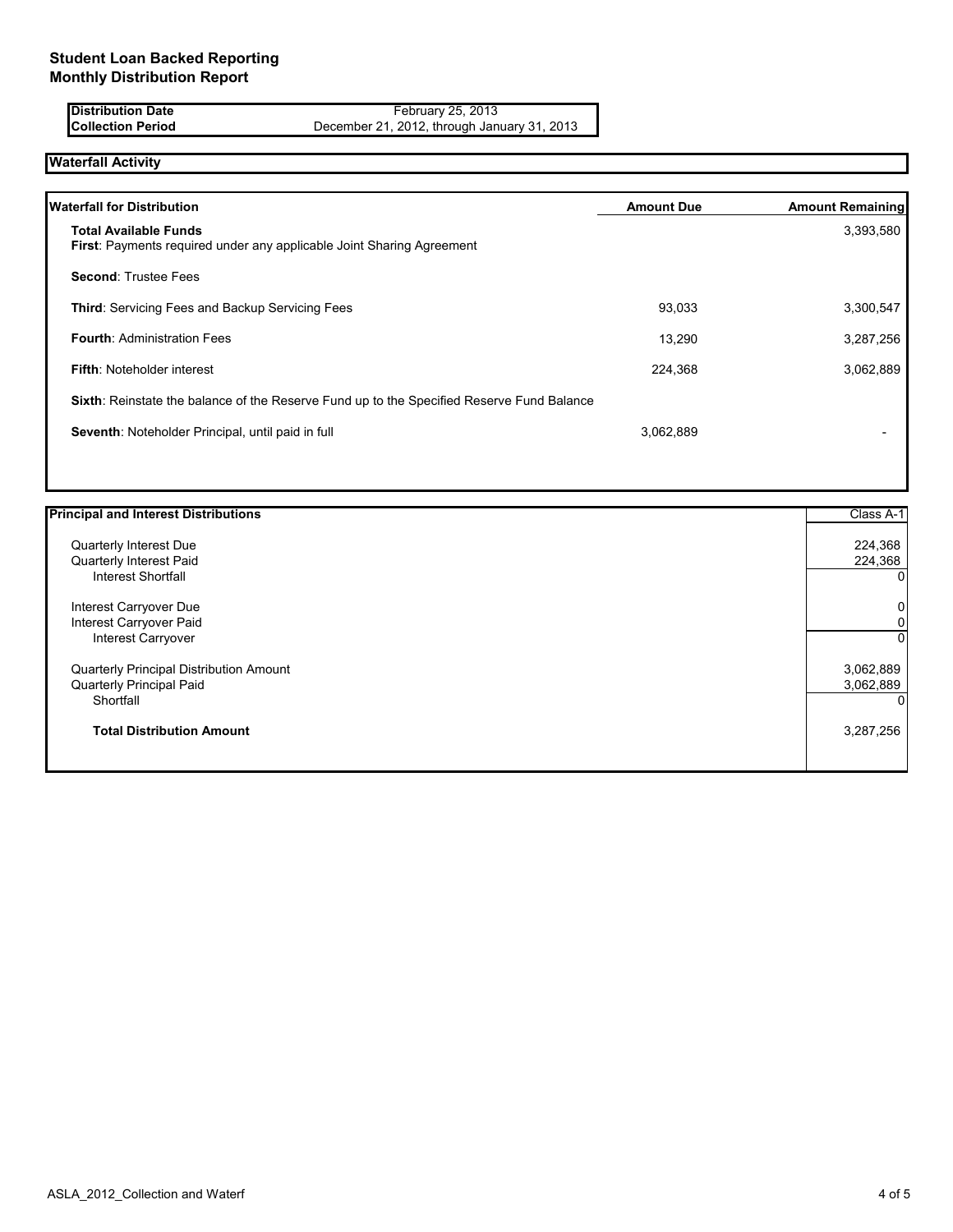**Distribution Date Example 25, 2013 Collection Period** December 21, 2012, through January 31, 2013

## **Waterfall Activity**

| <b>Waterfall for Distribution</b>                                                                            | <b>Amount Due</b> | <b>Amount Remaining</b> |
|--------------------------------------------------------------------------------------------------------------|-------------------|-------------------------|
| <b>Total Available Funds</b><br><b>First: Payments required under any applicable Joint Sharing Agreement</b> |                   | 3,393,580               |
| <b>Second: Trustee Fees</b>                                                                                  |                   |                         |
| <b>Third: Servicing Fees and Backup Servicing Fees</b>                                                       | 93,033            | 3,300,547               |
| <b>Fourth: Administration Fees</b>                                                                           | 13.290            | 3,287,256               |
| <b>Fifth: Noteholder interest</b>                                                                            | 224,368           | 3,062,889               |
| Sixth: Reinstate the balance of the Reserve Fund up to the Specified Reserve Fund Balance                    |                   |                         |
| Seventh: Noteholder Principal, until paid in full                                                            | 3,062,889         |                         |
|                                                                                                              |                   |                         |

| <b>Principal and Interest Distributions</b> | Class A-1 |
|---------------------------------------------|-----------|
| Quarterly Interest Due                      | 224,368   |
| Quarterly Interest Paid                     | 224,368   |
| <b>Interest Shortfall</b>                   | 0         |
| Interest Carryover Due                      | 0         |
| Interest Carryover Paid                     | 0         |
| Interest Carryover                          | 0         |
| Quarterly Principal Distribution Amount     | 3,062,889 |
| Quarterly Principal Paid                    | 3,062,889 |
| Shortfall                                   |           |
| <b>Total Distribution Amount</b>            | 3,287,256 |
|                                             |           |